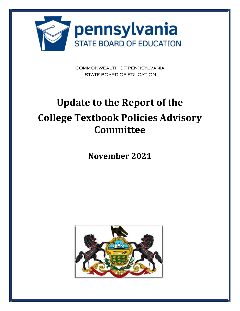

COMMONWEALTH OF PENNSYLVANIA STATE BOARD OF EDUCATION

# **Update to the Report of the College Textbook Policies Advisory Committee**

**November 2021** 

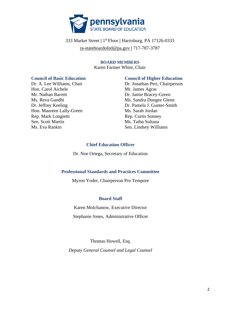

### 333 Market Street **|** 1st Floor **|** Harrisburg, PA 17126-0333 [ra-stateboardofed@pa.gov](mailto:ra-stateboardofed@pa.gov) **|** 717-787-3787

#### **BOARD MEMBERS**  Karen Farmer White, Chair

Hon. Carol Aichele Mr. James Agras Mr. Nathan Barrett Dr. Jamie Bracey-Green Ms. Reva Gandhi Ms. Sandra Dungee Glenn Hon. Maureen Lally-Green Ms. Sarah Jordan Rep. Mark Longietti Rep. Curtis Sonney Sen. Scott Martin Ms. Taiba Sultana Ms. Eva Rankin Sen. Lindsey Williams

#### **Council of Basic Education Council of Higher Education**

Dr. A. Lee Williams, Chair Dr. Jonathan Peri, Chairperson Dr. Jeffrey Keeling Dr. Pamela J. Gunter-Smith

#### **Chief Education Officer**

Dr. Noe Ortega, Secretary of Education

#### **Professional Standards and Practices Committee**

Myron Yoder, Chairperson Pro Tempore

#### **Board Staff**

Karen Molchanow, Executive Director

Stephanie Jones, Administrative Officer

Thomas Howell, Esq.

*Deputy General Counsel and Legal Counsel*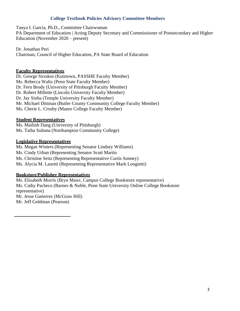#### **College Textbook Policies Advisory Committee Members**

Tanya I. Garcia, Ph.D., Committee Chairwoman PA Department of Education | Acting Deputy Secretary and Commissioner of Postsecondary and Higher Education (November 2020 – present)

Dr. Jonathan Peri Chairman, Council of Higher Education, PA State Board of Education

#### **Faculty Representatives**

Dr. George Sirrakos (Kutztown, PASSHE Faculty Member) Ms. Rebecca Waltz (Penn State Faculty Member) Dr. Fern Brody (University of Pittsburgh Faculty Member) Dr. Robert Millette (Lincoln University Faculty Member) Dr. Jay Sinha (Temple University Faculty Member) Mr. Michael Dittman (Butler County Community College Faculty Member) Ms. Cherie L. Crosby (Manor College Faculty Member)

#### **Student Representatives**

Ms. Mailinh Dang (University of Pittsburgh) Ms. Taiba Sultana (Northampton Community College)

#### **Legislative Representatives**

Ms. Megan Winters (Representing Senator Lindsey Williams) Ms. Cindy Urban (Representing Senator Scott Martin Ms. Christine Seitz (Representing Representative Curtis Sonney) Ms. Alycia M. Laureti (Representing Representative Mark Longietti)

#### **Bookstore/Publisher Representatives**

Ms. Elizabeth Morris (Bryn Mawr, Campus College Bookstore representative) Ms. Cathy Pacheco (Barnes & Noble, Penn State University Online College Bookstore representative) Mr. Jesse Gutierrez (McGraw Hill) Mr. Jeff Goldman (Pearson)

3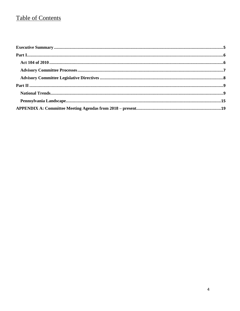## **Table of Contents**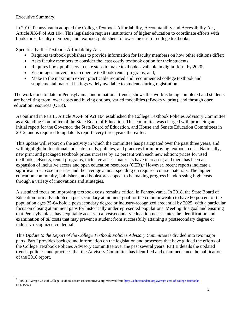#### <span id="page-4-0"></span>Executive Summary

In 2010, Pennsylvania adopted the College Textbook Affordability, Accountability and Accessibility Act, Article XX-F of Act 104. This legislation requires institutions of higher education to coordinate efforts with bookstores, faculty members, and textbook publishers to lower the cost of college textbooks.

Specifically, the Textbook Affordability Act:

- Requires textbook publishers to provide information for faculty members on how other editions differ;
- Asks faculty members to consider the least costly textbook option for their students;
- Requires book publishers to take steps to make textbooks available in digital form by 2020;
- Encourages universities to operate textbook-rental programs, and;
- Make to the maximum extent practicable required and recommended college textbook and supplemental material listings widely available to students during registration.

The work done to date in Pennsylvania, and in national trends, shows this work is being completed and students are benefiting from lower costs and buying options, varied modalities (eBooks v. print), and through open education resources (OER).

As outlined in Part II, Article XX-F of Act 104 established the College Textbook Policies Advisory Committee as a Standing Committee of the State Board of Education. This committee was charged with producing an initial report for the Governor, the State Board of Education, and House and Senate Education Committees in 2012, and is required to update its report every three years thereafter.

This update will report on the activity in which the committee has participated over the past three years, and will highlight both national and state trends, policies, and practices for improving textbook costs. Nationally, new print and packaged textbook prices increase by 12 percent with each new edition; prices for used textbooks, eBooks, rental programs, inclusive access materials have increased; and there has been an expansion of inclusive access and open education resources (OER).<sup>1</sup> However, recent reports indicate a significant decrease in prices and the average annual spending on required course materials. The higher education community, publishers, and bookstores appear to be making progress in addressing high costs through a variety of innovations and strategies.

A sustained focus on improving textbook costs remains critical in Pennsylvania. In 2018, the State Board of Education formally adopted a postsecondary attainment goal for the commonwealth to have 60 percent of the population ages 25-64 hold a postsecondary degree or industry-recognized credential by 2025, with a particular focus on closing attainment gaps for historically underrepresented populations. Meeting this goal and ensuring that Pennsylvanians have equitable access to a postsecondary education necessitates the identification and examination of *all* costs that may prevent a student from successfully attaining a postsecondary degree or industry-recognized credential.

 parts. Part I provides background information on the legislation and processes that have guided the efforts of This *Update to the Report of the College Textbook Policies Advisory Committee* is divided into two major the College Textbook Policies Advisory Committee over the past several years. Part II details the updated trends, policies, and practices that the Advisory Committee has identified and examined since the publication of the 2018 report.

<sup>&</sup>lt;sup>1</sup> (2021). Average Cost of College Textbooks from [EducationData.org](https://EducationData.org) retrieved from https://educationdata.org/average-cost-of-college-textbooks on 8/4/2021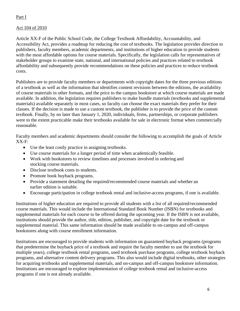#### <span id="page-5-0"></span>Part I

#### <span id="page-5-1"></span>Act 104 of 2010

Article XX-F of the Public School Code, the College Textbook Affordability, Accountability, and Accessibility Act, provides a roadmap for reducing the cost of textbooks. The legislation provides direction to publishers, faculty members, academic departments, and institutions of higher education to provide students with the most affordable options for course materials. Specifically, the legislation calls for representatives of stakeholder groups to examine state, national, and international policies and practices related to textbook affordability and subsequently provide recommendations on these policies and practices to reduce textbook costs.

Publishers are to provide faculty members or departments with copyright dates for the three previous editions of a textbook as well as the information that identifies content revisions between the editions, the availability of course materials in other formats, and the price to the campus bookstore at which course materials are made available. In addition, the legislation requires publishers to make bundle materials (textbooks and supplemental materials) available separately in most cases, so faculty can choose the exact materials they prefer for their classes. If the decision is made to use a custom textbook, the publisher is to provide the price of the custom textbook. Finally, by no later than January 1, 2020, individuals, firms, partnerships, or corporate publishers were to the extent practicable make their textbooks available for sale in electronic format when commercially reasonable.

Faculty members and academic departments should consider the following to accomplish the goals of Article XX-F:

- Use the least costly practice in assigning textbooks.
- Use course materials for a longer period of time when academically feasible.
- Work with bookstores to review timelines and processes involved in ordering and stocking course materials.
- Disclose textbook costs to students.
- Promote book buyback programs.
- Provide a statement detailing the required/recommended course materials and whether an earlier edition is suitable.
- Encourage participation in college textbook rental and inclusive-access programs, if one is available.

Institutions of higher education are required to provide all students with a list of all required/recommended course materials. This would include the International Standard Book Number (ISBN) for textbooks and supplemental materials for each course to be offered during the upcoming year. If the ISBN is not available, institutions should provide the author, title, edition, publisher, and copyright date for the textbook or supplemental material. This same information should be made available to on-campus and off-campus bookstores along with course enrollment information.

<span id="page-5-2"></span>Institutions are encouraged to provide students with information on guaranteed buyback programs (programs that predetermine the buyback price of a textbook and require the faculty member to use the textbook for multiple years), college textbook rental programs, used textbook purchase programs, college textbook buyback programs, and alternative content delivery programs. This also would include digital textbooks, other strategies for acquiring textbooks and supplemental materials, and on-campus and off-campus bookstore information. Institutions are encouraged to explore implementation of college textbook rental and inclusive-access programs if one is not already available.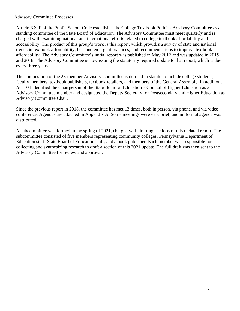#### Advisory Committee Processes

Article XX-F of the Public School Code establishes the College Textbook Policies Advisory Committee as a standing committee of the State Board of Education. The Advisory Committee must meet quarterly and is charged with examining national and international efforts related to college textbook affordability and accessibility. The product of this group's work is this report, which provides a survey of state and national trends in textbook affordability, best and emergent practices, and recommendations to improve textbook affordability. The Advisory Committee's initial report was published in May 2012 and was updated in 2015 and 2018. The Advisory Committee is now issuing the statutorily required update to that report, which is due every three years.

The composition of the 23-member Advisory Committee is defined in statute to include college students, faculty members, textbook publishers, textbook retailers, and members of the General Assembly. In addition, Act 104 identified the Chairperson of the State Board of Education's Council of Higher Education as an Advisory Committee member and designated the Deputy Secretary for Postsecondary and Higher Education as Advisory Committee Chair.

Since the previous report in 2018, the committee has met 13 times, both in person, via phone, and via video conference. Agendas are attached in Appendix A. Some meetings were very brief, and no formal agenda was distributed.

A subcommittee was formed in the spring of 2021, charged with drafting sections of this updated report. The subcommittee consisted of five members representing community colleges, Pennsylvania Department of Education staff, State Board of Education staff, and a book publisher. Each member was responsible for collecting and synthesizing research to draft a section of this 2021 update. The full draft was then sent to the Advisory Committee for review and approval.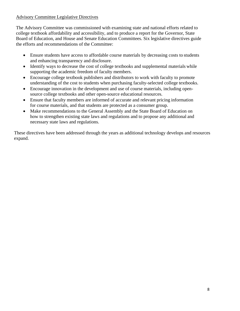#### <span id="page-7-0"></span>Advisory Committee Legislative Directives

The Advisory Committee was commissioned with examining state and national efforts related to college textbook affordability and accessibility, and to produce a report for the Governor, State Board of Education, and House and Senate Education Committees. Six legislative directives guide the efforts and recommendations of the Committee:

- Ensure students have access to affordable course materials by decreasing costs to students and enhancing transparency and disclosure.
- Identify ways to decrease the cost of college textbooks and supplemental materials while supporting the academic freedom of faculty members.
- Encourage college textbook publishers and distributors to work with faculty to promote understanding of the cost to students when purchasing faculty-selected college textbooks.
- Encourage innovation in the development and use of course materials, including opensource college textbooks and other open-source educational resources.
- Ensure that faculty members are informed of accurate and relevant pricing information for course materials, and that students are protected as a consumer group.
- Make recommendations to the General Assembly and the State Board of Education on how to strengthen existing state laws and regulations and to propose any additional and necessary state laws and regulations.

These directives have been addressed through the years as additional technology develops and resources expand.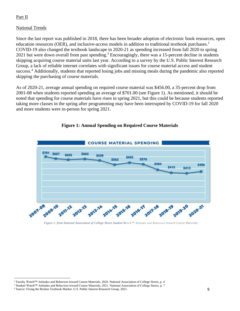#### <span id="page-8-0"></span>Part II

#### <span id="page-8-1"></span>National Trends

Since the last report was published in 2018, there has been broader adoption of electronic book resources, open education resources (OER), and inclusive-access models in addition to traditional textbook purchases.<sup>2</sup> COVID-19 also changed the textbook landscape in 2020-21 as spending increased from fall 2020 to spring 2021 but were down overall from past spending.<sup>3</sup> Encouragingly, there was a 15-percent decline in students skipping acquiring course material units last year. According to a survey by the U.S. Public Interest Research Group, a lack of reliable internet correlates with significant issues for course material access and student success.<sup>4</sup> Additionally, students that reported losing jobs and missing meals during the pandemic also reported skipping the purchasing of course materials.

As of 2020-21, average annual spending on required course material was \$456.00, a 35-percent drop from 2001-08 when students reported spending an average of \$701.00 (see Figure 1). As mentioned, it should be noted that spending for course materials have risen in spring 2021, but this could be because students reported taking more classes in the spring after programming may have been interrupted by COVID-19 for fall 2020 and more students were in-person for spring 2021.



#### **Figure 1: Annual Spending on Required Course Materials**

 *Figure 1: from National Association of College Stores Student Watch™ Attitudes and Behaviors toward Course Materials* 

<sup>&</sup>lt;sup>2</sup> Faculty Watch<sup>TM</sup> Attitudes and Behaviors toward Course Materials, 2020. National Association of College Stores, p. 4 <sup>2</sup> Faculty Watch™ Attitudes and Behaviors toward Course Materials, 2020. National Association of College Stores, p. 4<br><sup>3</sup> Student Watch™ Attitudes and Behaviors toward Course Materials, 2021. National Association of Coll

 4 Source: Fixing the Broken Textbook Market. U.S. Public Interest Research Group, 2021. 9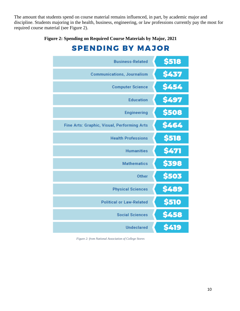The amount that students spend on course material remains influenced, in part, by academic major and discipline. Students majoring in the health, business, engineering, or law professions currently pay the most for required course material (see Figure 2).

**Figure 2: Spending on Required Course Materials by Major, 2021** 

# **SPENDING BY MAJOR**

| <b>Business-Related</b>                     | \$518       |
|---------------------------------------------|-------------|
| <b>Communications, Journalism</b>           | \$437       |
| <b>Computer Science</b>                     | \$454       |
| <b>Education</b>                            | \$497       |
| <b>Engineering</b>                          | \$508       |
| Fine Arts: Graphic, Visual, Performing Arts | \$464       |
| <b>Health Professions</b>                   | \$518       |
| <b>Humanities</b>                           | \$471       |
| <b>Mathematics</b>                          | \$398       |
| <b>Other</b>                                | \$503       |
| <b>Physical Sciences</b>                    | \$489       |
| <b>Political or Law-Related</b>             | \$510       |
| <b>Social Sciences</b>                      | \$458       |
| <b>Undeclared</b>                           | <b>S419</b> |

 *Figure 2: from National Association of College Stores*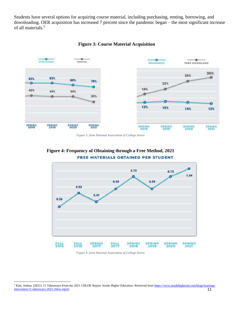Students have several options for acquiring course material, including purchasing, renting, borrowing, and downloading. OER acquisition has increased 7 percent since the pandemic began – the most significant increase of all materials.<sup>5</sup>





*Figure 3: from National Association of College Stores* 





 *Figure 4: from National Association of College Stores* 

<sup>&</sup>lt;sup>5</sup> Kim, Joshua. (2021). 11 Takeaways From the 2021 CHLOE Report. Inside Higher Education. Retrieved from [https://www.insidehighered.com/blogs/learning](https://www.insidehighered.com/blogs/learning-innovation/11-takeaways-2021-chloe-report)[innovation/11-takeaways-2021-chloe-report](https://www.insidehighered.com/blogs/learning-innovation/11-takeaways-2021-chloe-report) 11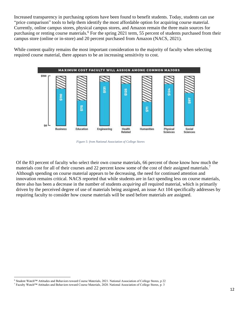Increased transparency in purchasing options have been found to benefit students. Today, students can use "price comparison" tools to help them identify the most affordable option for acquiring course material. Currently, online campus stores, physical campus stores, and Amazon remain the three main sources for purchasing or renting course materials.<sup>6</sup> For the spring 2021 term, 55 percent of students purchased from their campus store (online or in-store) and 20 percent purchased from Amazon (NACS, 2021).

While content quality remains the most important consideration to the majority of faculty when selecting required course material, there appears to be an increasing sensitivity to cost.



 *Figure 5: from National Association of College Stores* 

Of the 83 percent of faculty who select their own course materials, 66 percent of those know how much the materials cost for all of their courses and 22 percent know some of the cost of their assigned materials.<sup>7</sup> Although spending on course material appears to be decreasing, the need for continued attention and innovation remains critical. NACS reported that while students are in fact spending less on course materials, there also has been a decrease in the number of students *acquiring all* required material, which is primarily driven by the perceived degree of use of materials being assigned, an issue Act 104 specifically addresses by requiring faculty to consider how course materials will be used before materials are assigned.

 6 Student Watch™ Attitudes and Behaviors toward Course Materials, 2021. National Association of College Stores, p 22

 7 Faculty Watch™ Attitudes and Behaviors toward Course Materials, 2020. National Association of College Stores, p. 3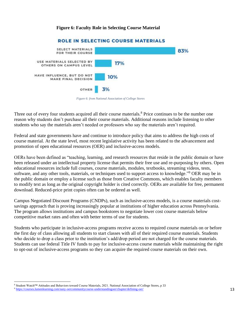#### **Figure 6: Faculty Role in Selecting Course Material**



#### *ROLE IN SELECTING COURSE MATERIALS*

Three out of every four students acquired all their course materials.<sup>8</sup> Price continues to be the number one reason why students don't purchase all their course materials. Additional reasons include listening to other students who say the materials aren't needed or professors who say the materials aren't required.

Federal and state governments have and continue to introduce policy that aims to address the high costs of course material. At the state level, most recent legislative activity has been related to the advancement and promotion of open educational resources (OER) and inclusive-access models.

OERs have been defined as "teaching, learning, and research resources that reside in the public domain or have been released under an intellectual property license that permits their free use and re-purposing by others. Open educational resources include full courses, course materials, modules, textbooks, streaming videos, tests, software, and any other tools, materials, or techniques used to support access to knowledge."9 OER may be in the public domain or employ a license such as those from Creative Commons, which enables faculty members to modify text as long as the original copyright holder is cited correctly. OERs are available for free, permanent download. Reduced-price print copies often can be ordered as well.

Campus Negotiated Discount Programs (CNDPs), such as inclusive-access models, is a course materials costsavings approach that is proving increasingly popular at institutions of higher education across Pennsylvania. The program allows institutions and campus bookstores to negotiate lower cost course materials below competitive market rates and often with better terms of use for students.

Students who participate in inclusive-access programs receive access to required course materials on or before the first day of class allowing all students to start classes with all of their required course materials. Students who decide to drop a class prior to the institution's add/drop period are not charged for the course materials. Students can use federal Title IV funds to pay for inclusive-access course materials while maintaining the right to opt-out of inclusive-access programs so they can acquire the required course materials on their own.

 *Figure 6: from National Association of College Stores* 

<sup>8</sup> Student Watch™ Attitudes and Behaviors toward Course Materials, 2021. National Association of College Stores, p 33<br>[9 https://courses.lumenlearning.com/suny-oercommunitycourse-understandingoer/chapter/defining-oer/](https://courses.lumenlearning.com/suny-oercommunitycourse-understandingoer/chapter/defining-oer/) 13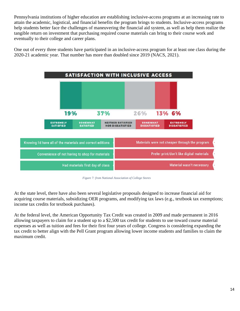Pennsylvania institutions of higher education are establishing inclusive-access programs at an increasing rate to attain the academic, logistical, and financial benefits the program brings to students. Inclusive-access programs help students better face the challenges of maneuvering the financial aid system, as well as help them realize the tangible return on investment that purchasing required course materials can bring to their course work and eventually to their college and career plans.

One out of every three students have participated in an inclusive-access program for at least one class during the 2020-21 academic year. That number has more than doubled since 2019 (NACS, 2021).



 *Figure 7: from National Association of College Stores* 

At the state level, there have also been several legislative proposals designed to increase financial aid for acquiring course materials, subsidizing OER programs, and modifying tax laws (e.g., textbook tax exemptions; income tax credits for textbook purchases).

<span id="page-13-0"></span>At the federal level, the American Opportunity Tax Credit was created in 2009 and made permanent in 2016 allowing taxpayers to claim for a student up to a \$2,500 tax credit for students to use toward course material expenses as well as tuition and fees for their first four years of college. Congress is considering expanding the tax credit to better align with the Pell Grant program allowing lower income students and families to claim the maximum credit.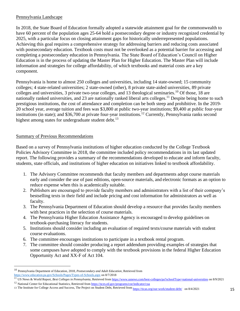#### Pennsylvania Landscape

In 2018, the State Board of Education formally adopted a statewide attainment goal for the commonwealth to have 60 percent of the population ages 25-64 hold a postsecondary degree or industry recognized credential by 2025, with a particular focus on closing attainment gaps for historically underrepresented populations. Achieving this goal requires a comprehensive strategy for addressing barriers and reducing costs associated with postsecondary education. Textbook costs must not be overlooked as a potential barrier for accessing and completing a postsecondary education in Pennsylvania. The State Board of Education's Council on Higher Education is in the process of updating the Master Plan for Higher Education. The Master Plan will include information and strategies for college affordability, of which textbooks and material costs are a key component.

Pennsylvania is home to almost 250 colleges and universities, including 14 state-owned; 15 community colleges; 4 state-related universities; 2 state-owned (other), 8 private state-aided universities, 89 private colleges and universities, 3 private two-year colleges, and 13 theological [seminaries.](https://seminaries.10)<sup>10</sup> Of those, 18 are nationally ranked universities, and 23 are nationally ranked liberal arts [colleges.](https://colleges.11)<sup>11</sup> Despite being home to such prestigious institutions, the cost of attendance and completion can be both steep and prohibitive. In the 2019- 20 school year, average tuition and fees was \$3,800 at public two-year institutions; \$9,400 at public four-year institutions (in state); and \$36,700 at private four-year [institutions.](https://institutions.12)<sup>12</sup> Currently, Pennsylvania ranks second highest among states for undergraduate student debt.<sup>13</sup>

#### Summary of Previous Recommendations

Based on a survey of Pennsylvania institutions of higher education conducted by the College Textbook Policies Advisory Committee in 2018, the committee included policy recommendations in its last updated report. The following provides a summary of the recommendations developed to educate and inform faculty, students, state officials, and institutions of higher education on initiatives linked to textbook affordability.

- 1. The Advisory Committee recommends that faculty members and departments adopt course materials early and consider the use of past editions, open-source materials, and electronic formats as an option to reduce expense when this is academically suitable.
- 2. Publishers are encouraged to provide faculty members and administrators with a list of their company's bestselling texts in their field and include pricing and cost information for administrators as well as faculty.
- 3. The Pennsylvania Department of Education should develop a resource that provides faculty members with best practices in the selection of course materials.
- 4. The Pennsylvania Higher Education Assistance Agency is encouraged to develop guidelines on textbook-purchasing literacy for students.
- 5. Institutions should consider including an evaluation of required texts/course materials with student course evaluations.
- 6. The committee encourages institutions to participate in a textbook rental program.
- 7. The committee should consider producing a report addendum providing examples of strategies that some campuses have adopted to comply with the textbook provisions in the federal Higher Education Opportunity Act and XX-F of Act 104.

 10 Pennsylvania Department of Education, 2018, *Postsecondary and Adult Education*, Retrieved from

[https://www.education.pa.gov/Schools/Pages/Types-of-Schools.aspx o](https://www.education.pa.gov/Schools/Pages/Types-of-Schools.aspx)n 8/7/2018<br><sup>11</sup> US News & World Report, *Best Colleges in Pennsylvania*, Retrieved from <u>https://www.usnews.com/best-colleges/pa?schoolType=national-univers</u>

<sup>&</sup>lt;sup>12</sup> National Center for Educational Statistics, Retrieved from https://nces.ed.gov/programs/coe/indicator/cua

<sup>13</sup> The Institute for College Access and Success, The Project on Student Debt, Retrieved fro[m https://ticas.org/our-work/student-debt/](https://ticas.org/our-work/student-debt/) on 8/4/2021 15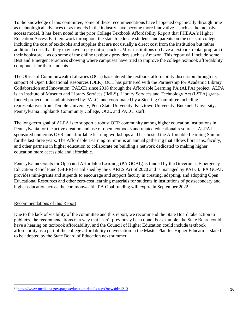To the knowledge of this committee, some of these recommendations have happened organically through time as technological advances or as models in the industry have become more innovative – such as the inclusiveaccess model. It has been noted in the prior College Textbook Affordability Report that PHEAA's Higher Education Access Partners work throughout the state to educate students and parents on the costs of college, including the cost of textbooks and supplies that are not usually a direct cost from the institution but rather additional costs that they may have to pay out-of-pocket. Most institutions do have a textbook rental program in their bookstore – as do some of the online textbook providers such as Amazon. This report will include some Best and Emergent Practices showing where campuses have tried to improve the college textbook affordability component for their students.

The Office of Commonwealth Libraries (OCL) has entered the textbook affordability discussion through its support of Open Educational Resources (OER). OCL has partnered with the Partnership for Academic Library Collaboration and Innovation (PALCI) since 2018 through the Affordable Learning PA (ALPA) project. ALPA is an Institute of Museum and Library Services (IMLS), Library Services and Technology Act (LSTA) grantfunded project and is administered by PALCI and coordinated by a Steering Committee including representatives from Temple University, Penn State University, Kutztown University, Bucknell University, Pennsylvania Highlands Community College, OCL, and PALCI staff.

The long-term goal of ALPA is to support a robust OER community among higher education institutions in Pennsylvania for the active creation and use of open textbooks and related educational resources. ALPA has sponsored numerous OER and affordable learning workshops and has hosted the Affordable Learning Summit for the last three years. The Affordable Learning Summit is an annual gathering that allows librarians, faculty, and other partners in higher education to collaborate on building a network dedicated to making higher education more accessible and affordable.

Pennsylvania Grants for Open and Affordable Learning (PA GOAL) is funded by the Governor's Emergency Education Relief Fund (GEER) established by the CARES Act of 2020 and is managed by PALCI. PA GOAL provides mini-grants and stipends to encourage and support faculty in creating, adapting, and adopting Open Educational Resources and other zero-cost learning materials for students in institutions of postsecondary and higher education across the commonwealth. PA Goal funding will expire in September 2022<sup>14</sup>.

#### Recommendations of this Report

Due to the lack of visibility of the committee and this report, we recommend the State Board take action to publicize the recommendations in a way that hasn't previously been done. For example, the State Board could have a hearing on textbook affordability, and the Council of Higher Education could include textbook affordability as a part of the college affordability conversation in the Master Plan for Higher Education, slated to be adopted by the State Board of Education next summer.

<sup>&</sup>lt;sup>14</sup><https://www.media.pa.gov/pages/education-details.aspx?newsid=1213>16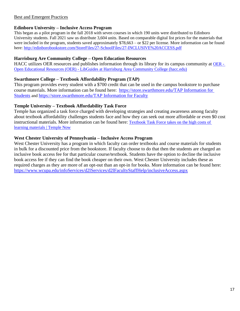#### Best and Emergent Practices

#### **Edinboro University – Inclusive Access Program**

 University students. Fall 2021 saw us distribute 3,604 units. Based on comparable digital list prices for the materials that This began as a pilot program in the fall 2018 with seven courses in which 190 units were distributed to Edinboro were included in the program, students saved approximately \$78,663 – or \$22 per license. More information can be found here[: http://edinborobookstore.com/StoreFiles/27-SchoolFiles/27-INCLUSIVE%20ACCESS.pdf](https://gcc02.safelinks.protection.outlook.com/?url=https%3A%2F%2Flinkprotect.cudasvc.com%2Furl%3Fa%3Dhttp%253a%252f%252fedinborobookstore.com%252fStoreFiles%252f27-SchoolFiles%252f27-INCLUSIVE%252520ACCESS.pdf%26c%3DE%2C1%2Cu1OibjqgZ-j5_jAQBshLvOXymwg89wqd3g30qDV6V9EX3c6ggFb3bpCjwx56QetYysBhOVSVGeZDwajnqbOPcK5v1XS5B5JGH4DSjkHDmDxU%26typo%3D1&data=04%7C01%7Ckimccurdy%40pa.gov%7C859c6b3f534a486af8c708d99a500d28%7C418e284101284dd59b6c47fc5a9a1bde%7C0%7C0%7C637710491317026113%7CUnknown%7CTWFpbGZsb3d8eyJWIjoiMC4wLjAwMDAiLCJQIjoiV2luMzIiLCJBTiI6Ik1haWwiLCJXVCI6Mn0%3D%7C3000&sdata=HQT4ei0RP6idAyw8V8IMQVQh%2Fg5XzWbj4pJoWKovozA%3D&reserved=0) 

#### **Harrisburg Are Community College – Open Education Resources**

HACC utilizes OER resources and publishes information through its library for its campus community at [OER -](https://libguides.hacc.edu/OER) Open Educational Resources (OER) - [LibGuides at Harrisburg Area Community College \(hacc.edu\)](https://libguides.hacc.edu/OER) 

#### **Swarthmore College – Textbook Affordability Program (TAP)**

This program provides every student with a \$700 credit that can be used in the campus bookstore to purchase course materials. More information can be found here: [https://store.swarthmore.edu/TAP Information for](https://gcc02.safelinks.protection.outlook.com/?url=https%3A%2F%2Flinkprotect.cudasvc.com%2Furl%3Fa%3Dhttps%253a%252f%252fstore.swarthmore.edu%252fSiteText%253fid%253d87397%26c%3DE%2C1%2C0gJI6SoSlf-9MI6I6CuKPlGoB2q4A2bWpXFi6iawOu6Sk0lMXIIqsuC5WEy-KnU0kjGnW1LnssiP86frHQFPzCbLETngErZgOp43IFH32NQHwpGZODY%2C%26typo%3D1&data=04%7C01%7Ckimccurdy%40pa.gov%7Cb4e231940c344acc703b08d99a4f78f3%7C418e284101284dd59b6c47fc5a9a1bde%7C0%7C0%7C637710488995580672%7CUnknown%7CTWFpbGZsb3d8eyJWIjoiMC4wLjAwMDAiLCJQIjoiV2luMzIiLCJBTiI6Ik1haWwiLCJXVCI6Mn0%3D%7C2000&sdata=0ETWOO3sHeZjNoAMUeviJEFrdT5GfIv%2FdcyIUDFAWFU%3D&reserved=0)  [Students](https://gcc02.safelinks.protection.outlook.com/?url=https%3A%2F%2Flinkprotect.cudasvc.com%2Furl%3Fa%3Dhttps%253a%252f%252fstore.swarthmore.edu%252fSiteText%253fid%253d87397%26c%3DE%2C1%2C0gJI6SoSlf-9MI6I6CuKPlGoB2q4A2bWpXFi6iawOu6Sk0lMXIIqsuC5WEy-KnU0kjGnW1LnssiP86frHQFPzCbLETngErZgOp43IFH32NQHwpGZODY%2C%26typo%3D1&data=04%7C01%7Ckimccurdy%40pa.gov%7Cb4e231940c344acc703b08d99a4f78f3%7C418e284101284dd59b6c47fc5a9a1bde%7C0%7C0%7C637710488995580672%7CUnknown%7CTWFpbGZsb3d8eyJWIjoiMC4wLjAwMDAiLCJQIjoiV2luMzIiLCJBTiI6Ik1haWwiLCJXVCI6Mn0%3D%7C2000&sdata=0ETWOO3sHeZjNoAMUeviJEFrdT5GfIv%2FdcyIUDFAWFU%3D&reserved=0) an[d https://store.swarthmore.edu/TAP Information for Faculty](https://gcc02.safelinks.protection.outlook.com/?url=https%3A%2F%2Flinkprotect.cudasvc.com%2Furl%3Fa%3Dhttps%253a%252f%252fstore.swarthmore.edu%252fSiteText%253fid%253d87398%26c%3DE%2C1%2CQIBPyYT4wNBRVjxEDCEpxngCy-sRFyeR7qoay606ebwESZ3TDs3o043CKtmr4L7bdCGkFj7Q8jwKAQoQwLd5qVcubdX9eJ1Z7aDVBwBC%26typo%3D1&data=04%7C01%7Ckimccurdy%40pa.gov%7Cb4e231940c344acc703b08d99a4f78f3%7C418e284101284dd59b6c47fc5a9a1bde%7C0%7C0%7C637710488995590636%7CUnknown%7CTWFpbGZsb3d8eyJWIjoiMC4wLjAwMDAiLCJQIjoiV2luMzIiLCJBTiI6Ik1haWwiLCJXVCI6Mn0%3D%7C2000&sdata=sBwpH%2FdLo%2FM%2BEWZHJKfkCjxahFEHYzP%2BEAE5WA8qIsw%3D&reserved=0) 

#### **Temple University – Textbook Affordability Task Force**

Temple has organized a task force charged with developing strategies and creating awareness among faculty about textbook affordability challenges students face and how they can seek out more affordable or even \$0 cost instructional materials. More information can be found here: [Textbook Task Force takes on the high costs of](https://news.temple.edu/news/2021-02-17/textbook-task-force-takes-high-costs-learning-materials)  [learning materials | Temple Now](https://news.temple.edu/news/2021-02-17/textbook-task-force-takes-high-costs-learning-materials) 

#### **West Chester University of Pennsylvania – Inclusive Access Program**

West Chester University has a program in which faculty can order textbooks and course materials for students in bulk for a discounted price from the bookstore. If faculty choose to do that then the students are charged an inclusive book access fee for that particular course/textbook. Students have the option to decline the inclusive book access fee if they can find the book cheaper on their own. West Chester University includes these as required charges as they are more of an opt-out than an opt-in for books. More information can be found here: <https://www.wcupa.edu/infoServices/d2lServices/d2lFacultyStaffHelp/inclusiveAccess.aspx>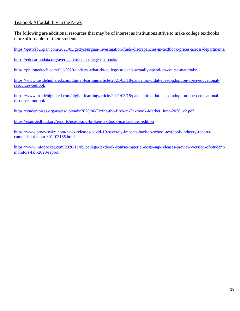#### Textbook Affordability in the News

The following are additional resources that may be of interest as institutions strive to make college textbooks more affordable for their students.

<https://gettysburgian.com/2021/03/gettysburgian-investigation-finds-discrepancies-in-textbook-prices-across-departments/>

<https://educationdata.org/average-cost-of-college-textbooks>

<https://philonedtech.com/fall-2020-updates-what-do-college-students-actually-spend-on-course-materials/>

[https://www.insidehighered.com/digital-learning/article/2021/03/18/pandemic-didnt-speed-adoption-open-educational](https://www.insidehighered.com/digital-learning/article/2021/03/18/pandemic-didnt-speed-adoption-open-educational-resources-outlook)[resources-outlook](https://www.insidehighered.com/digital-learning/article/2021/03/18/pandemic-didnt-speed-adoption-open-educational-resources-outlook) 

[https://www.insidehighered.com/digital-learning/article/2021/03/18/pandemic-didnt-speed-adoption-open-educational](https://www.insidehighered.com/digital-learning/article/2021/03/18/pandemic-didnt-speed-adoption-open-educational-resources-outlook)[resources-outlook](https://www.insidehighered.com/digital-learning/article/2021/03/18/pandemic-didnt-speed-adoption-open-educational-resources-outlook) 

https://studentpirgs.org/assets/uploads/2020/06/Fixing-the-Broken-Textbook-Market\_June-2020\_v2.pdf

<https://uspirgedfund.org/reports/usp/fixing-broken-textbook-market-third-edition>

[https://www.prnewswire.com/news-releases/covid-19-severely-impacts-back-to-school-textbook-industry-reports](https://www.prnewswire.com/news-releases/covid-19-severely-impacts-back-to-school-textbook-industry-reports-campusbookscom-301103165.html)[campusbookscom-301103165.html](https://www.prnewswire.com/news-releases/covid-19-severely-impacts-back-to-school-textbook-industry-reports-campusbookscom-301103165.html) 

[https://www.infodocket.com/2020/11/05/college-textbook-course-material-costs-aap-releases-preview-version-of-student](https://www.infodocket.com/2020/11/05/college-textbook-course-material-costs-aap-releases-preview-version-of-student-monitors-fall-2020-report/)[monitors-fall-2020-report/](https://www.infodocket.com/2020/11/05/college-textbook-course-material-costs-aap-releases-preview-version-of-student-monitors-fall-2020-report/)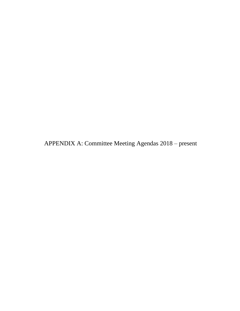<span id="page-18-0"></span>APPENDIX A: Committee Meeting Agendas 2018 – present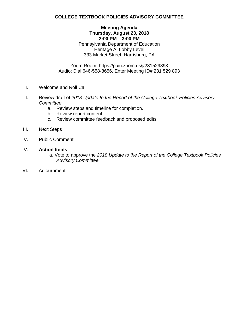#### **Meeting Agenda Thursday, August 23, 2018 2:00 PM – 3:00 PM**  Pennsylvania Department of Education Heritage A, Lobby Level 333 Market Street, Harrisburg, PA

Zoom Room: https://paiu.zoom.us/j/231529893 Audio: Dial 646-558-8656, Enter Meeting ID# 231 529 893

- Welcome and Roll Call
- I. Welcome and Roll Call<br>II. Review draft of *2018 Update to the Report of the College Textbook Policies Advisory Committee* 
	- a. Review steps and timeline for completion.<br>b. Review report content
	-
- c. Review committee feedback and proposed edits c. Review committee feedback and proposed edits III. Next Steps IV. Public Comment V. **Action Items**
- **Next Steps**
- **Public Comment**

- a. Vote to approve the *2018 Update to the Report of the College Textbook Policies Advisory Committee*
- VI. Adjournment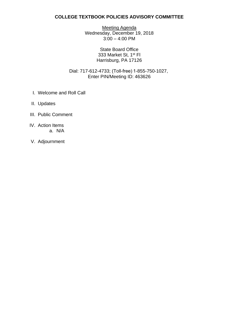Meeting Agenda Wednesday, December 19, 2018 3:00 – 4:00 PM

> State Board Office 333 Market St, 1<sup>st</sup> Fl Harrisburg, PA 17126

Dial: 717-612-4733; (Toll-free) 1-855-750-1027, Enter PIN/Meeting ID: 463626

- I. Welcome and Roll Call
- II. Updates
- III. Public Comment
- IV. Action Items a. N/A
- V. Adjournment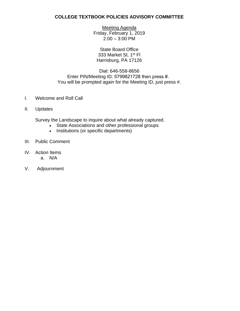Meeting Agenda Friday, February 1, 2019 2:00 – 3:00 PM

State Board Office 333 Market St, 1<sup>st</sup> Fl Harrisburg, PA 17126

#### Dial: 646-558-8656 Enter PIN/Meeting ID: 5799821728 then press #.  You will be prompted again for the Meeting ID, just press #.

- I. Welcome and Roll Call
- II. Updates

Survey the Landscape to inquire about what already captured.

- State Associations and other professional groups
- Institutions (or specific departments)
- III. Public Comment
- IV. Action Items a. N/A
- V. Adjournment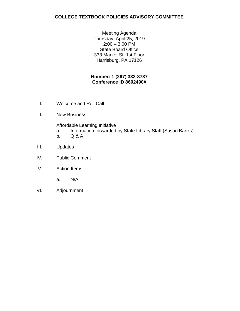Meeting Agenda Thursday, April 25, 2019 2:00 – 3:00 PM State Board Office 333 Market St, 1st Floor Harrisburg, PA 17126

#### **Number: 1 (267) 332-8737 Conference ID 8602490#**

- Welcome and Roll Call
- **New Business**

Affordable Learning Initiative

- I. Welcome and Roll Call<br>II. New Business<br>Affordable Learning Initiative<br>a. Information forwarded by State Library Staff (Susan Banks)
	- $Q & A$
- Updates
- **Public Comment** b. Q & A<br>III. Updates<br>IV. Public Comment<br>V. Action Items
- - $N/A$
- a. N/A<br>VI. Adjournment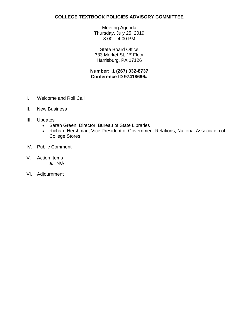Meeting Agenda Thursday, July 25, 2019 3:00 – 4:00 PM

State Board Office 333 Market St, 1<sup>st</sup> Floor Harrisburg, PA 17126

#### **Number: 1 (267) 332-8737 Conference ID 97418696#**

- I. Welcome and Roll Call
- II. New Business
- III. Updates
	- Sarah Green, Director, Bureau of State Libraries
	- Richard Hershman, Vice President of Government Relations, National Association of College Stores
- IV. Public Comment
- V. Action Items a. N/A
- VI. Adjournment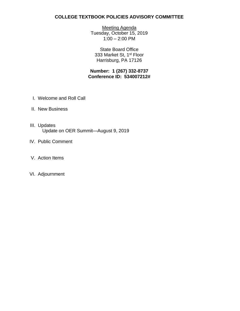Meeting Agenda Tuesday, October 15, 2019 1:00 – 2:00 PM

State Board Office 333 Market St, 1<sup>st</sup> Floor Harrisburg, PA 17126

 **Conference ID: 534007212# Number: 1 (267) 332-8737** 

- I. Welcome and Roll Call
- II. New Business
- III. Updates Update on OER Summit—August 9, 2019
- IV. Public Comment
- V. Action Items
- VI. Adjournment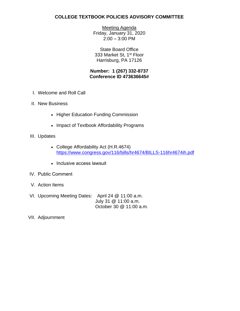Meeting Agenda Friday, January 31, 2020 2:00 – 3:00 PM

State Board Office 333 Market St, 1<sup>st</sup> Floor Harrisburg, PA 17126

#### **Number: 1 (267) 332-8737 Conference ID 473636645#**

- I. Welcome and Roll Call
- II. New Business
	- Higher Education Funding Commission
	- Impact of Textbook Affordability Programs
- III. Updates
	- College Affordability Act (H.R.4674) <https://www.congress.gov/116/bills/hr4674/BILLS-116hr4674ih.pdf>
	- Inclusive access lawsuit
- IV. Public Comment
- V. Action Items
- VI. Upcoming Meeting Dates: April 24 @ 11:00 a.m. October 30 @ 11:00 a.m. July 31 @ 11:00 a.m.
- VII. Adjournment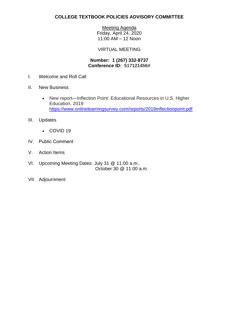Meeting Agenda Friday, April 24, 2020

11:00 AM – 12 Noon

#### VIRTUAL MEETING

#### **Conference ID: 517121456# Number: 1 (267) 332-8737**

- I. Welcome and Roll Call
- II. New Business
	- New report—Inflection Point: Educational Resources in U.S. Higher Education, 2019 <https://www.onlinelearningsurvey.com/reports/2019inflectionpoint.pdf>
- III. Updates
	- COVID 19
- IV. Public Comment
- V. Action Items
- October 30 @ 11:00 a.m. VI. Upcoming Meeting Dates: July 31 @ 11:00 a.m..
- VII. Adjournment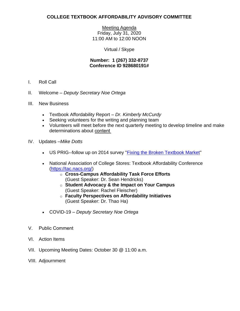Meeting Agenda Friday, July 31, 2020 11:00 AM to 12:00 NOON

Virtual / Skype

#### **Number: 1 (267) 332-8737 Conference ID 928680191#**

- I. Roll Call
- II. Welcome *Deputy Secretary Noe Ortega*
- III. New Business
	- Textbook Affordability Report *Dr. Kimberly McCurdy*
	- Seeking volunteers for the writing and planning team
	- • Volunteers will meet before the next quarterly meeting to develop timeline and make determinations about content
- IV. Updates –*Mike Dotts* 
	- US PRIG--follow up on 2014 survey ["Fixing the Broken Textbook Market"](https://uspirg.org/feature/usp/fixing-broken-textbook-market)
	- National Association of College Stores: Textbook Affordability Conference [\(https://tac.nacs.org/\)](https://tac.nacs.org/)
		- o **Cross-Campus Affordability Task Force Efforts**  (Guest Speaker: Dr. Sean Hendricks)
		- o **Student Advocacy & the Impact on Your Campus**  (Guest Speaker: Rachel Fleischer)
		- o **Faculty Perspectives on Affordability Initiatives**  (Guest Speaker: Dr. Thao Ha)
	- COVID-19 *Deputy Secretary Noe Ortega*
- V. Public Comment
- VI. Action Items
- VII. Upcoming Meeting Dates: October 30 @ 11:00 a.m.
- VIII. Adjournment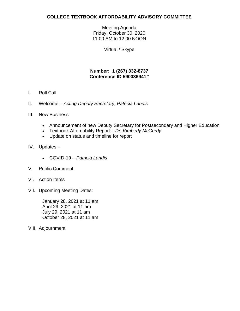Meeting Agenda Friday, October 30, 2020 11:00 AM to 12:00 NOON

Virtual / Skype

#### **Number: 1 (267) 332-8737 Conference ID 590036941#**

- I. Roll Call
- II. Welcome *Acting Deputy Secretary, Patricia Landis*
- III. New Business
	- Announcement of new Deputy Secretary for Postsecondary and Higher Education
	- Textbook Affordability Report *Dr. Kimberly McCurdy*
	- Update on status and timeline for report
- IV. Updates
	- COVID-19 *Patricia Landis*
- V. Public Comment
- VI. Action Items
- VII. Upcoming Meeting Dates:

January 28, 2021 at 11 am<br>April 29, 2021 at 11 am July 29, 2021 at 11 am October 28, 2021 at 11 am

VIII. Adjournment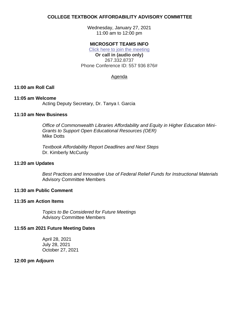Wednesday, January 27, 2021 11:00 am to 12:00 pm

#### **MICROSOFT TEAMS INFO**

 Phone Conference ID: 557 936 876# [Click here to join the meeting](https://teams.microsoft.com/l/meetup-join/19%3ameeting_Nzk5NDM1ZTUtNWE0NC00YTY2LTgzMTYtMzA2MWEwNzgxNzk1%40thread.v2/0?context=%7b%22Tid%22%3a%22418e2841-0128-4dd5-9b6c-47fc5a9a1bde%22%2c%22Oid%22%3a%227ee5f484-1dec-4799-8b0a-f257a87cd429%22%7d)  **Or call in (audio only)**  267.332.8737

#### Agenda

#### **11:00 am Roll Call**

#### **11:05 am Welcome**

Acting Deputy Secretary, Dr. Tanya I. Garcia

#### **11:10 am New Business**

*Office of Commonwealth Libraries Affordability and Equity in Higher Education Mini-Grants to Support Open Educational Resources (OER)*  Mike Dotts

*Textbook Affordability Report Deadlines and Next Steps*  Dr. Kimberly McCurdy

#### **11:20 am Updates**

*Best Practices and Innovative Use of Federal Relief Funds for Instructional Materials*  Advisory Committee Members

#### **11:30 am Public Comment**

#### **11:35 am Action Items**

*Topics to Be Considered for Future Meetings*  Advisory Committee Members

#### **11:55 am 2021 Future Meeting Dates**

April 28, 2021 July 28, 2021 October 27, 2021

#### **12:00 pm Adjourn**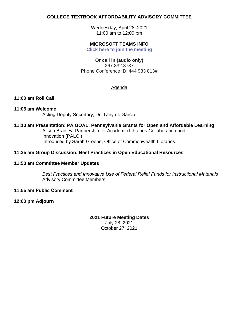Wednesday, April 28, 2021 11:00 am to 12:00 pm

#### **MICROSOFT TEAMS INFO**

**[Click here to join the meeting](https://teams.microsoft.com/l/meetup-join/19%3ameeting_MGYyMjgzZTYtZjAxNy00MmUwLTk3NjAtNTg2M2RkYTAxYWJl%40thread.v2/0?context=%7b%22Tid%22%3a%22418e2841-0128-4dd5-9b6c-47fc5a9a1bde%22%2c%22Oid%22%3a%227ee5f484-1dec-4799-8b0a-f257a87cd429%22%7d)** 

#### **Or call in (audio only)**  267.332.8737

Phone Conference ID: 444 933 813#

#### Agenda

#### **11:00 am Roll Call**

#### **11:05 am Welcome**

Acting Deputy Secretary, Dr. Tanya I. Garcia

#### **11:10 am Presentation: PA GOAL: Pennsylvania Grants for Open and Affordable Learning**

Alison Bradley, Partnership for Academic Libraries Collaboration and Innovation (PALCI) Introduced by Sarah Greene, Office of Commonwealth Libraries

#### **11:35 am Group Discussion: Best Practices in Open Educational Resources**

#### **11:50 am Committee Member Updates**

*Best Practices and Innovative Use of Federal Relief Funds for Instructional Materials*  Advisory Committee Members

#### **11:55 am Public Comment**

#### **12:00 pm Adjourn**

#### **2021 Future Meeting Dates**  July 28, 2021 October 27, 2021